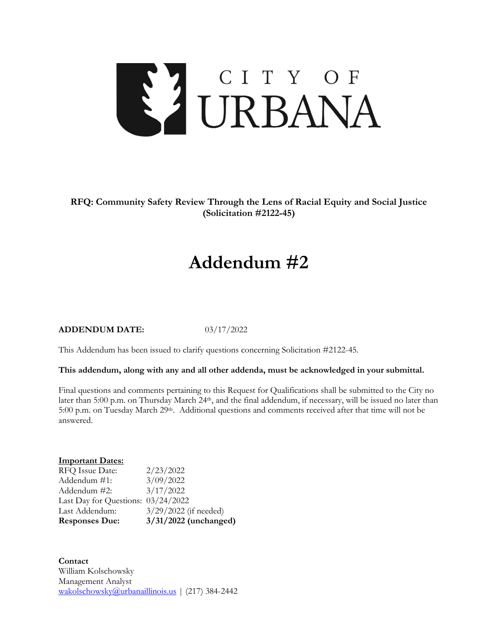

**RFQ: Community Safety Review Through the Lens of Racial Equity and Social Justice (Solicitation #2122-45)**

# **Addendum #2**

#### **ADDENDUM DATE:** 03/17/2022

This Addendum has been issued to clarify questions concerning Solicitation #2122-45.

## **This addendum, along with any and all other addenda, must be acknowledged in your submittal.**

Final questions and comments pertaining to this Request for Qualifications shall be submitted to the City no later than 5:00 p.m. on Thursday March 24<sup>th</sup>, and the final addendum, if necessary, will be issued no later than 5:00 p.m. on Tuesday March 29<sup>th</sup>. Additional questions and comments received after that time will not be answered.

## **Important Dates:**

| <b>Responses Due:</b>              | 3/31/2022 (unchanged)   |
|------------------------------------|-------------------------|
| Last Addendum:                     | $3/29/2022$ (if needed) |
| Last Day for Questions: 03/24/2022 |                         |
| Addendum #2:                       | 3/17/2022               |
| Addendum #1:                       | 3/09/2022               |
| RFQ Issue Date:                    | 2/23/2022               |

**Contact** William Kolschowsky Management Analyst [wakolschowsky@urbanaillinois.us](mailto:wakolschowsky@urbanaillinois.us) | (217) 384-2442